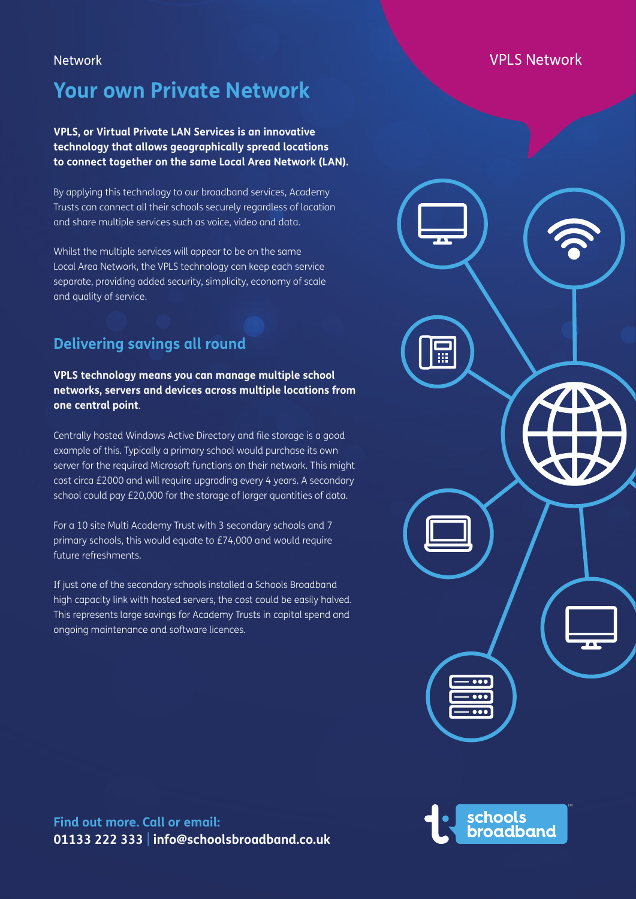# **Your own Private Network**

### **VPLS, or Virtual Private LAN Services is an innovative technology that allows geographically spread locations to connect together on the same Local Area Network (LAN).**

By applying this technology to our broadband services, Academy Trusts can connect all their schools securely regardless of location and share multiple services such as voice, video and data.

Whilst the multiple services will appear to be on the same Local Area Network, the VPLS technology can keep each service separate, providing added security, simplicity, economy of scale and quality of service.

# **Delivering savings all round**

#### **VPLS technology means you can manage multiple school networks, servers and devices across multiple locations from one central point**.

Centrally hosted Windows Active Directory and file storage is a good example of this. Typically a primary school would purchase its own server for the required Microsoft functions on their network. This might cost circa £2000 and will require upgrading every 4 years. A secondary school could pay £20,000 for the storage of larger quantities of data.

For a 10 site Multi Academy Trust with 3 secondary schools and 7 primary schools, this would equate to £74,000 and would require future refreshments.

If just one of the secondary schools installed a Schools Broadband high capacity link with hosted servers, the cost could be easily halved. This represents large savings for Academy Trusts in capital spend and ongoing maintenance and software licences.

## Network **VPLS Network**



schools<br>broadband